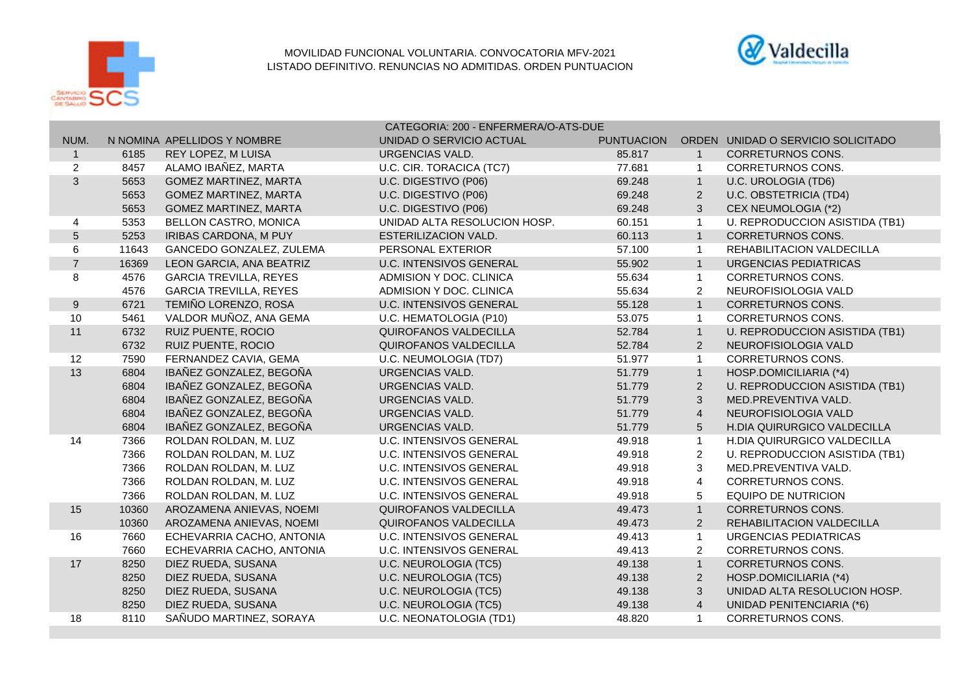

## MOVILIDAD FUNCIONAL VOLUNTARIA. CONVOCATORIA MFV-2021 LISTADO DEFINITIVO. RENUNCIAS NO ADMITIDAS. ORDEN PUNTUACION



|                  |       |                               | CATEGORIA: 200 - ENFERMERA/O-ATS-DUE |                   |                |                                    |  |
|------------------|-------|-------------------------------|--------------------------------------|-------------------|----------------|------------------------------------|--|
| NUM.             |       | N NOMINA APELLIDOS Y NOMBRE   | UNIDAD O SERVICIO ACTUAL             | <b>PUNTUACION</b> |                | ORDEN UNIDAD O SERVICIO SOLICITADO |  |
| $\mathbf{1}$     | 6185  | REY LOPEZ, M LUISA            | <b>URGENCIAS VALD.</b>               | 85.817            | $\overline{1}$ | <b>CORRETURNOS CONS.</b>           |  |
| $\overline{c}$   | 8457  | ALAMO IBAÑEZ, MARTA           | U.C. CIR. TORACICA (TC7)             | 77.681            | $\overline{1}$ | <b>CORRETURNOS CONS.</b>           |  |
| 3                | 5653  | <b>GOMEZ MARTINEZ, MARTA</b>  | U.C. DIGESTIVO (P06)                 | 69.248            | $\overline{1}$ | U.C. UROLOGIA (TD6)                |  |
|                  | 5653  | <b>GOMEZ MARTINEZ, MARTA</b>  | U.C. DIGESTIVO (P06)                 | 69.248            | $\overline{2}$ | <b>U.C. OBSTETRICIA (TD4)</b>      |  |
|                  | 5653  | <b>GOMEZ MARTINEZ, MARTA</b>  | U.C. DIGESTIVO (P06)                 | 69.248            | 3              | CEX NEUMOLOGIA (*2)                |  |
| 4                | 5353  | BELLON CASTRO, MONICA         | UNIDAD ALTA RESOLUCION HOSP.         | 60.151            | $\overline{1}$ | U. REPRODUCCION ASISTIDA (TB1)     |  |
| 5                | 5253  | IRIBAS CARDONA, M PUY         | <b>ESTERILIZACION VALD.</b>          | 60.113            | $\overline{1}$ | <b>CORRETURNOS CONS.</b>           |  |
| 6                | 11643 | GANCEDO GONZALEZ, ZULEMA      | PERSONAL EXTERIOR                    | 57.100            | $\overline{1}$ | REHABILITACION VALDECILLA          |  |
| $\overline{7}$   | 16369 | LEON GARCIA, ANA BEATRIZ      | <b>U.C. INTENSIVOS GENERAL</b>       | 55.902            | $\overline{1}$ | URGENCIAS PEDIATRICAS              |  |
| 8                | 4576  | <b>GARCIA TREVILLA, REYES</b> | ADMISION Y DOC, CLINICA              | 55.634            | $\overline{1}$ | <b>CORRETURNOS CONS.</b>           |  |
|                  | 4576  | <b>GARCIA TREVILLA, REYES</b> | ADMISION Y DOC. CLINICA              | 55.634            | $\overline{2}$ | NEUROFISIOLOGIA VALD               |  |
| $\boldsymbol{9}$ | 6721  | TEMIÑO LORENZO, ROSA          | <b>U.C. INTENSIVOS GENERAL</b>       | 55.128            | $\overline{1}$ | <b>CORRETURNOS CONS.</b>           |  |
| 10               | 5461  | VALDOR MUÑOZ, ANA GEMA        | U.C. HEMATOLOGIA (P10)               | 53.075            | $\overline{1}$ | <b>CORRETURNOS CONS.</b>           |  |
| 11               | 6732  | RUIZ PUENTE, ROCIO            | <b>QUIROFANOS VALDECILLA</b>         | 52.784            | $\overline{1}$ | U. REPRODUCCION ASISTIDA (TB1)     |  |
|                  | 6732  | RUIZ PUENTE, ROCIO            | <b>QUIROFANOS VALDECILLA</b>         | 52.784            | 2              | NEUROFISIOLOGIA VALD               |  |
| 12               | 7590  | FERNANDEZ CAVIA, GEMA         | U.C. NEUMOLOGIA (TD7)                | 51.977            | $\overline{1}$ | CORRETURNOS CONS.                  |  |
| 13               | 6804  | IBAÑEZ GONZALEZ, BEGOÑA       | <b>URGENCIAS VALD.</b>               | 51.779            | $\overline{1}$ | HOSP.DOMICILIARIA (*4)             |  |
|                  | 6804  | IBAÑEZ GONZALEZ, BEGOÑA       | URGENCIAS VALD.                      | 51.779            | $\overline{2}$ | U. REPRODUCCION ASISTIDA (TB1)     |  |
|                  | 6804  | IBAÑEZ GONZALEZ, BEGOÑA       | URGENCIAS VALD.                      | 51.779            | 3              | MED.PREVENTIVA VALD.               |  |
|                  | 6804  | IBAÑEZ GONZALEZ, BEGOÑA       | <b>URGENCIAS VALD.</b>               | 51.779            | $\overline{4}$ | NEUROFISIOLOGIA VALD               |  |
|                  | 6804  | IBAÑEZ GONZALEZ, BEGOÑA       | <b>URGENCIAS VALD.</b>               | 51.779            | 5              | H.DIA QUIRURGICO VALDECILLA        |  |
| 14               | 7366  | ROLDAN ROLDAN, M. LUZ         | <b>U.C. INTENSIVOS GENERAL</b>       | 49.918            | $\overline{1}$ | H.DIA QUIRURGICO VALDECILLA        |  |
|                  | 7366  | ROLDAN ROLDAN, M. LUZ         | <b>U.C. INTENSIVOS GENERAL</b>       | 49.918            | $\overline{2}$ | U. REPRODUCCION ASISTIDA (TB1)     |  |
|                  | 7366  | ROLDAN ROLDAN, M. LUZ         | <b>U.C. INTENSIVOS GENERAL</b>       | 49.918            | 3              | MED.PREVENTIVA VALD.               |  |
|                  | 7366  | ROLDAN ROLDAN, M. LUZ         | <b>U.C. INTENSIVOS GENERAL</b>       | 49.918            | 4              | CORRETURNOS CONS.                  |  |
|                  | 7366  | ROLDAN ROLDAN, M. LUZ         | <b>U.C. INTENSIVOS GENERAL</b>       | 49.918            | 5              | <b>EQUIPO DE NUTRICION</b>         |  |
| 15               | 10360 | AROZAMENA ANIEVAS, NOEMI      | QUIROFANOS VALDECILLA                | 49.473            | $\mathbf{1}$   | <b>CORRETURNOS CONS.</b>           |  |
|                  | 10360 | AROZAMENA ANIEVAS, NOEMI      | QUIROFANOS VALDECILLA                | 49.473            | 2              | REHABILITACION VALDECILLA          |  |
| 16               | 7660  | ECHEVARRIA CACHO, ANTONIA     | U.C. INTENSIVOS GENERAL              | 49.413            | $\overline{1}$ | URGENCIAS PEDIATRICAS              |  |
|                  | 7660  | ECHEVARRIA CACHO, ANTONIA     | <b>U.C. INTENSIVOS GENERAL</b>       | 49.413            | $\overline{2}$ | CORRETURNOS CONS.                  |  |
| 17               | 8250  | DIEZ RUEDA, SUSANA            | U.C. NEUROLOGIA (TC5)                | 49.138            | $\mathbf{1}$   | <b>CORRETURNOS CONS.</b>           |  |
|                  | 8250  | DIEZ RUEDA, SUSANA            | U.C. NEUROLOGIA (TC5)                | 49.138            | 2              | HOSP.DOMICILIARIA (*4)             |  |
|                  | 8250  | DIEZ RUEDA, SUSANA            | U.C. NEUROLOGIA (TC5)                | 49.138            | 3              | UNIDAD ALTA RESOLUCION HOSP.       |  |
|                  | 8250  | DIEZ RUEDA, SUSANA            | U.C. NEUROLOGIA (TC5)                | 49.138            | $\overline{4}$ | UNIDAD PENITENCIARIA (*6)          |  |
| 18               | 8110  | SAÑUDO MARTINEZ, SORAYA       | U.C. NEONATOLOGIA (TD1)              | 48.820            | $\overline{1}$ | <b>CORRETURNOS CONS.</b>           |  |
|                  |       |                               |                                      |                   |                |                                    |  |